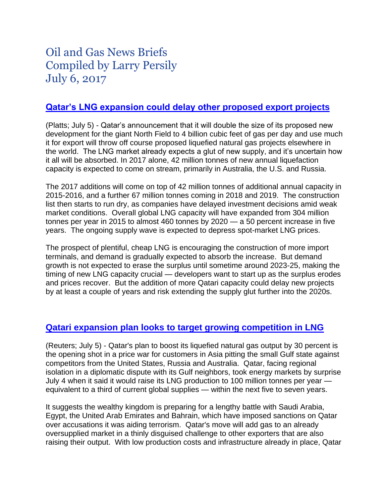# Oil and Gas News Briefs Compiled by Larry Persily July 6, 2017

## **[Qatar's LNG expansion could delay other proposed export projects](http://blogs.platts.com/2017/07/05/qatar-lng-surplus-mid-2020s/)**

(Platts; July 5) - Qatar's announcement that it will double the size of its proposed new development for the giant North Field to 4 billion cubic feet of gas per day and use much it for export will throw off course proposed liquefied natural gas projects elsewhere in the world. The LNG market already expects a glut of new supply, and it's uncertain how it all will be absorbed. In 2017 alone, 42 million tonnes of new annual liquefaction capacity is expected to come on stream, primarily in Australia, the U.S. and Russia.

The 2017 additions will come on top of 42 million tonnes of additional annual capacity in 2015-2016, and a further 67 million tonnes coming in 2018 and 2019. The construction list then starts to run dry, as companies have delayed investment decisions amid weak market conditions. Overall global LNG capacity will have expanded from 304 million tonnes per year in 2015 to almost 460 tonnes by 2020 — a 50 percent increase in five years. The ongoing supply wave is expected to depress spot-market LNG prices.

The prospect of plentiful, cheap LNG is encouraging the construction of more import terminals, and demand is gradually expected to absorb the increase. But demand growth is not expected to erase the surplus until sometime around 2023-25, making the timing of new LNG capacity crucial — developers want to start up as the surplus erodes and prices recover. But the addition of more Qatari capacity could delay new projects by at least a couple of years and risk extending the supply glut further into the 2020s.

## **[Qatari expansion plan looks to target growing competition in LNG](https://www.reuters.com/article/us-qatar-lng-idUSKBN19Q0YX)**

(Reuters; July 5) - Qatar's plan to boost its liquefied natural gas output by 30 percent is the opening shot in a price war for customers in Asia pitting the small Gulf state against competitors from the United States, Russia and Australia. Qatar, facing regional isolation in a diplomatic dispute with its Gulf neighbors, took energy markets by surprise July 4 when it said it would raise its LNG production to 100 million tonnes per year equivalent to a third of current global supplies — within the next five to seven years.

It suggests the wealthy kingdom is preparing for a lengthy battle with Saudi Arabia, Egypt, the United Arab Emirates and Bahrain, which have imposed sanctions on Qatar over accusations it was aiding terrorism. Qatar's move will add gas to an already oversupplied market in a thinly disguised challenge to other exporters that are also raising their output. With low production costs and infrastructure already in place, Qatar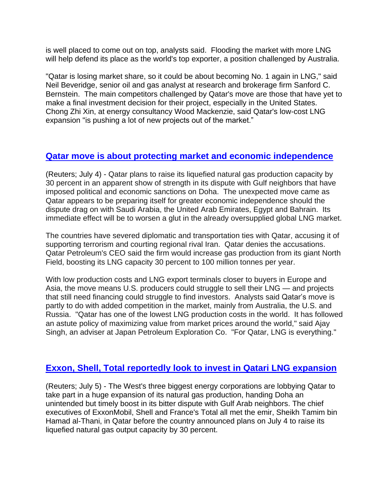is well placed to come out on top, analysts said. Flooding the market with more LNG will help defend its place as the world's top exporter, a position challenged by Australia.

"Qatar is losing market share, so it could be about becoming No. 1 again in LNG," said Neil Beveridge, senior oil and gas analyst at research and brokerage firm Sanford C. Bernstein. The main competitors challenged by Qatar's move are those that have yet to make a final investment decision for their project, especially in the United States. Chong Zhi Xin, at energy consultancy Wood Mackenzie, said Qatar's low-cost LNG expansion "is pushing a lot of new projects out of the market."

#### **[Qatar move is about protecting market and economic independence](https://uk.reuters.com/article/gulf-qatar-idUKL8N1JV3ML)**

(Reuters; July 4) - Qatar plans to raise its liquefied natural gas production capacity by 30 percent in an apparent show of strength in its dispute with Gulf neighbors that have imposed political and economic sanctions on Doha. The unexpected move came as Qatar appears to be preparing itself for greater economic independence should the dispute drag on with Saudi Arabia, the United Arab Emirates, Egypt and Bahrain. Its immediate effect will be to worsen a glut in the already oversupplied global LNG market.

The countries have severed diplomatic and transportation ties with Qatar, accusing it of supporting terrorism and courting regional rival Iran. Qatar denies the accusations. Qatar Petroleum's CEO said the firm would increase gas production from its giant North Field, boosting its LNG capacity 30 percent to 100 million tonnes per year.

With low production costs and LNG export terminals closer to buyers in Europe and Asia, the move means U.S. producers could struggle to sell their LNG — and projects that still need financing could struggle to find investors. Analysts said Qatar's move is partly to do with added competition in the market, mainly from Australia, the U.S. and Russia. "Qatar has one of the lowest LNG production costs in the world. It has followed an astute policy of maximizing value from market prices around the world," said Ajay Singh, an adviser at Japan Petroleum Exploration Co. "For Qatar, LNG is everything."

## **[Exxon, Shell, Total reportedly look to invest in Qatari LNG expansion](https://www.nytimes.com/reuters/2017/07/05/business/05reuters-gulf-qatar-lng-exclusive.html)**

(Reuters; July 5) - The West's three biggest energy corporations are lobbying Qatar to take part in a huge expansion of its natural gas production, handing Doha an unintended but timely boost in its bitter dispute with Gulf Arab neighbors. The chief executives of ExxonMobil, Shell and France's Total all met the emir, Sheikh Tamim bin Hamad al-Thani, in Qatar before the country announced plans on July 4 to raise its liquefied natural gas output capacity by 30 percent.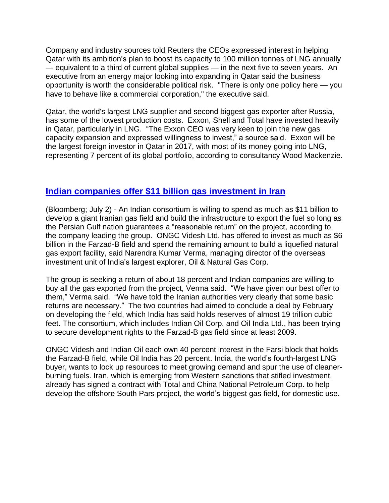Company and industry sources told Reuters the CEOs expressed interest in helping Qatar with its ambition's plan to boost its capacity to 100 million tonnes of LNG annually — equivalent to a third of current global supplies — in the next five to seven years. An executive from an energy major looking into expanding in Qatar said the business opportunity is worth the considerable political risk. "There is only one policy here — you have to behave like a commercial corporation," the executive said.

Qatar, the world's largest LNG supplier and second biggest gas exporter after Russia, has some of the lowest production costs. Exxon, Shell and Total have invested heavily in Qatar, particularly in LNG. "The Exxon CEO was very keen to join the new gas capacity expansion and expressed willingness to invest," a source said. Exxon will be the largest foreign investor in Qatar in 2017, with most of its money going into LNG, representing 7 percent of its global portfolio, according to consultancy Wood Mackenzie.

#### **Indian companies offer \$11 billion gas [investment](https://www.bloomberg.com/news/articles/2017-07-03/india-gives-iran-11-billion-best-offer-on-farzad-b-gas-field) in Iran**

(Bloomberg; July 2) - An Indian consortium is willing to spend as much as \$11 billion to develop a giant Iranian gas field and build the infrastructure to export the fuel so long as the Persian Gulf nation guarantees a "reasonable return" on the project, according to the company leading the group. ONGC Videsh Ltd. has offered to invest as much as \$6 billion in the Farzad-B field and spend the remaining amount to build a liquefied natural gas export facility, said Narendra Kumar Verma, managing director of the overseas investment unit of India's largest explorer, Oil & Natural Gas Corp.

The group is seeking a return of about 18 percent and Indian companies are willing to buy all the gas exported from the project, Verma said. "We have given our best offer to them," Verma said. "We have told the Iranian authorities very clearly that some basic returns are necessary." The two countries had aimed to conclude a deal by February on developing the field, which India has said holds reserves of almost 19 trillion cubic feet. The consortium, which includes Indian Oil Corp. and Oil India Ltd., has been trying to secure development rights to the Farzad-B gas field since at least 2009.

ONGC Videsh and Indian Oil each own 40 percent interest in the Farsi block that holds the Farzad-B field, while Oil India has 20 percent. India, the world's fourth-largest LNG buyer, wants to lock up resources to meet growing demand and spur the use of cleanerburning fuels. Iran, which is emerging from Western sanctions that stifled investment, already has signed a contract with Total and China National Petroleum Corp. to help develop the offshore South Pars project, the world's biggest gas field, for domestic use.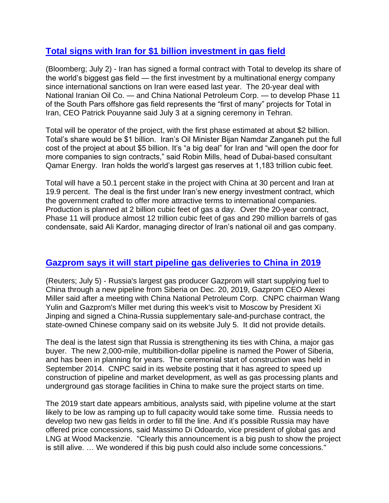## **Total signs with Iran for \$1 billion [investment](https://www.bloomberg.com/news/articles/2017-07-02/total-to-sign-milestone-iran-energy-deal-since-sanctions-eased) in gas field**

(Bloomberg; July 2) - Iran has signed a formal contract with Total to develop its share of the world's biggest gas field — the first investment by a multinational energy company since international sanctions on Iran were eased last year. The 20-year deal with National Iranian Oil Co. — and China National Petroleum Corp. — to develop Phase 11 of the South Pars offshore gas field represents the "first of many" projects for Total in Iran, CEO Patrick Pouyanne said July 3 at a signing ceremony in Tehran.

Total will be operator of the project, with the first phase estimated at about \$2 billion. Total's share would be \$1 billion. Iran's Oil Minister Bijan Namdar Zanganeh put the full cost of the project at about \$5 billion. It's "a big deal" for Iran and "will open the door for more companies to sign contracts," said Robin Mills, head of Dubai-based consultant Qamar Energy. Iran holds the world's largest gas reserves at 1,183 trillion cubic feet.

Total will have a 50.1 percent stake in the project with China at 30 percent and Iran at 19.9 percent. The deal is the first under Iran's new energy investment contract, which the government crafted to offer more attractive terms to international companies. Production is planned at 2 billion cubic feet of gas a day. Over the 20-year contract, Phase 11 will produce almost 12 trillion cubic feet of gas and 290 million barrels of gas condensate, said Ali Kardor, managing director of Iran's national oil and gas company.

#### **[Gazprom says it will start pipeline gas deliveries to China in 2019](http://www.nasdaq.com/article/gazprom-to-start-gas-supplies-to-china-via-siberia-in-dec-2019-20170705-00136)**

(Reuters; July 5) - Russia's largest gas producer Gazprom will start supplying fuel to China through a new pipeline from Siberia on Dec. 20, 2019, Gazprom CEO Alexei Miller said after a meeting with China National Petroleum Corp. CNPC chairman Wang Yulin and Gazprom's Miller met during this week's visit to Moscow by President Xi Jinping and signed a China-Russia supplementary sale-and-purchase contract, the state-owned Chinese company said on its website July 5. It did not provide details.

The deal is the latest sign that Russia is strengthening its ties with China, a major gas buyer. The new 2,000-mile, multibillion-dollar pipeline is named the Power of Siberia, and has been in planning for years. The ceremonial start of construction was held in September 2014. CNPC said in its website posting that it has agreed to speed up construction of pipeline and market development, as well as gas processing plants and underground gas storage facilities in China to make sure the project starts on time.

The 2019 start date appears ambitious, analysts said, with pipeline volume at the start likely to be low as ramping up to full capacity would take some time. Russia needs to develop two new gas fields in order to fill the line. And it's possible Russia may have offered price concessions, said Massimo Di Odoardo, vice president of global gas and LNG at Wood Mackenzie. "Clearly this announcement is a big push to show the project is still alive. … We wondered if this big push could also include some concessions."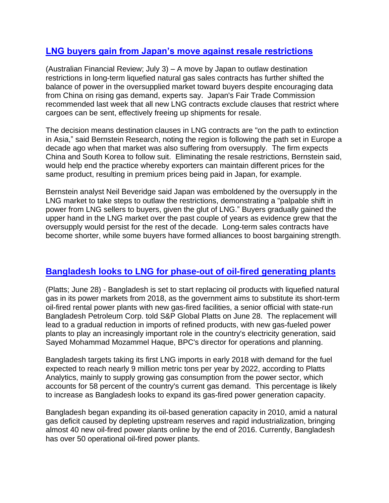#### **[LNG buyers gain from Japan's move against resale restrictions](http://www.afr.com/business/energy/gas/lng-power-shift-moves-further-in-favour-of-buyers-20170703-gx3c5m)**

(Australian Financial Review; July 3) – A move by Japan to outlaw destination restrictions in long-term liquefied natural gas sales contracts has further shifted the balance of power in the oversupplied market toward buyers despite encouraging data from China on rising gas demand, experts say. Japan's Fair Trade Commission recommended last week that all new LNG contracts exclude clauses that restrict where cargoes can be sent, effectively freeing up shipments for resale.

The decision means destination clauses in LNG contracts are "on the path to extinction in Asia," said Bernstein Research, noting the region is following the path set in Europe a decade ago when that market was also suffering from oversupply. The firm expects China and South Korea to follow suit. Eliminating the resale restrictions, Bernstein said, would help end the practice whereby exporters can maintain different prices for the same product, resulting in premium prices being paid in Japan, for example.

Bernstein analyst Neil Beveridge said Japan was emboldened by the oversupply in the LNG market to take steps to outlaw the restrictions, demonstrating a "palpable shift in power from LNG sellers to buyers, given the glut of LNG." Buyers gradually gained the upper hand in the LNG market over the past couple of years as evidence grew that the oversupply would persist for the rest of the decade. Long-term sales contracts have become shorter, while some buyers have formed alliances to boost bargaining strength.

#### **Bangladesh looks to LNG [for phase-out](https://www.platts.com/latest-news/natural-gas/singapore/lng-to-replace-oil-in-bangladesh-power-markets-26760298?) of oil-fired generating plants**

(Platts; June 28) - Bangladesh is set to start replacing oil products with liquefied natural gas in its power markets from 2018, as the government aims to substitute its short-term oil-fired rental power plants with new gas-fired facilities, a senior official with state-run Bangladesh Petroleum Corp. told S&P Global Platts on June 28. The replacement will lead to a gradual reduction in imports of refined products, with new gas-fueled power plants to play an increasingly important role in the country's electricity generation, said Sayed Mohammad Mozammel Haque, BPC's director for operations and planning.

Bangladesh targets taking its first LNG imports in early 2018 with demand for the fuel expected to reach nearly 9 million metric tons per year by 2022, according to Platts Analytics, mainly to supply growing gas consumption from the power sector, which accounts for 58 percent of the country's current gas demand. This percentage is likely to increase as Bangladesh looks to expand its gas-fired power generation capacity.

Bangladesh began expanding its oil-based generation capacity in 2010, amid a natural gas deficit caused by depleting upstream reserves and rapid industrialization, bringing almost 40 new oil-fired power plants online by the end of 2016. Currently, Bangladesh has over 50 operational oil-fired power plants.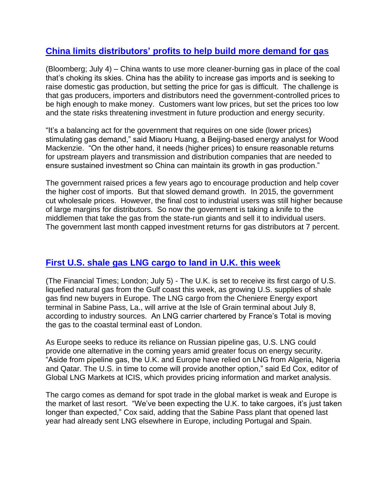## **[China limits distributors' profits to help build more demand for gas](https://www.bloomberg.com/news/articles/2017-07-04/costliest-gas-in-world-clouding-china-s-campaign-for-bluer-skies)**

(Bloomberg; July 4) – China wants to use more cleaner-burning gas in place of the coal that's choking its skies. China has the ability to increase gas imports and is seeking to raise domestic gas production, but setting the price for gas is difficult. The challenge is that gas producers, importers and distributors need the government-controlled prices to be high enough to make money. Customers want low prices, but set the prices too low and the state risks threatening investment in future production and energy security.

"It's a balancing act for the government that requires on one side (lower prices) stimulating gas demand," said Miaoru Huang, a Beijing-based energy analyst for Wood Mackenzie. "On the other hand, it needs (higher prices) to ensure reasonable returns for upstream players and transmission and distribution companies that are needed to ensure sustained investment so China can maintain its growth in gas production."

The government raised prices a few years ago to encourage production and help cover the higher cost of imports. But that slowed demand growth. In 2015, the government cut wholesale prices. However, the final cost to industrial users was still higher because of large margins for distributors. So now the government is taking a knife to the middlemen that take the gas from the state-run giants and sell it to individual users. The government last month capped investment returns for gas distributors at 7 percent.

## **First U.S. shale gas [LNG cargo to land in U.K. this week](https://www.ft.com/content/f7ea9416-616e-11e7-8814-0ac7eb84e5f1)**

(The Financial Times; London; July 5) - The U.K. is set to receive its first cargo of U.S. liquefied natural gas from the Gulf coast this week, as growing U.S. supplies of shale gas find new buyers in Europe. The LNG cargo from the Cheniere Energy export terminal in Sabine Pass, La., will arrive at the Isle of Grain terminal about July 8, according to industry sources. An LNG carrier chartered by France's Total is moving the gas to the coastal terminal east of London.

As Europe seeks to reduce its reliance on Russian pipeline gas, U.S. LNG could provide one alternative in the coming years amid greater focus on energy security. "Aside from pipeline gas, the U.K. and Europe have relied on LNG from Algeria, Nigeria and Qatar. The U.S. in time to come will provide another option," said Ed Cox, editor of Global LNG Markets at ICIS, which provides pricing information and market analysis.

The cargo comes as demand for spot trade in the global market is weak and Europe is the market of last resort. "We've been expecting the U.K. to take cargoes, it's just taken longer than expected," Cox said, adding that the Sabine Pass plant that opened last year had already sent LNG elsewhere in Europe, including Portugal and Spain.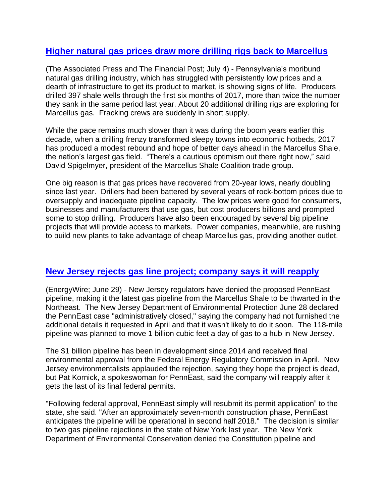#### **[Higher natural gas prices draw more drilling rigs back to Marcellus](http://www.calgaryherald.com/technology/after+dismal+2016+shale+drillers+begin+turn+corner/13596051/story.html)**

(The Associated Press and The Financial Post; July 4) - Pennsylvania's moribund natural gas drilling industry, which has struggled with persistently low prices and a dearth of infrastructure to get its product to market, is showing signs of life. Producers drilled 397 shale wells through the first six months of 2017, more than twice the number they sank in the same period last year. About 20 additional drilling rigs are exploring for Marcellus gas. Fracking crews are suddenly in short supply.

While the pace remains much slower than it was during the boom years earlier this decade, when a drilling frenzy transformed sleepy towns into economic hotbeds, 2017 has produced a modest rebound and hope of better days ahead in the Marcellus Shale, the nation's largest gas field. "There's a cautious optimism out there right now," said David Spigelmyer, president of the Marcellus Shale Coalition trade group.

One big reason is that gas prices have recovered from 20-year lows, nearly doubling since last year. Drillers had been battered by several years of rock-bottom prices due to oversupply and inadequate pipeline capacity. The low prices were good for consumers, businesses and manufacturers that use gas, but cost producers billions and prompted some to stop drilling. Producers have also been encouraged by several big pipeline projects that will provide access to markets. Power companies, meanwhile, are rushing to build new plants to take advantage of cheap Marcellus gas, providing another outlet.

#### **New Jersey rejects gas line project; [company](https://www.eenews.net/energywire/2017/06/29/stories/1060056776) says it will reapply**

(EnergyWire; June 29) - New Jersey regulators have denied the proposed PennEast pipeline, making it the latest gas pipeline from the Marcellus Shale to be thwarted in the Northeast. The New Jersey Department of Environmental Protection June 28 declared the PennEast case "administratively closed," saying the company had not furnished the additional details it requested in April and that it wasn't likely to do it soon. The 118-mile pipeline was planned to move 1 billion cubic feet a day of gas to a hub in New Jersey.

The \$1 billion pipeline has been in development since 2014 and received final environmental approval from the Federal Energy Regulatory Commission in April. New Jersey environmentalists applauded the rejection, saying they hope the project is dead, but Pat Kornick, a spokeswoman for PennEast, said the company will reapply after it gets the last of its final federal permits.

"Following federal approval, PennEast simply will resubmit its permit application" to the state, she said. "After an approximately seven-month construction phase, PennEast anticipates the pipeline will be operational in second half 2018." The decision is similar to two gas pipeline rejections in the state of New York last year. The New York Department of Environmental Conservation denied the Constitution pipeline and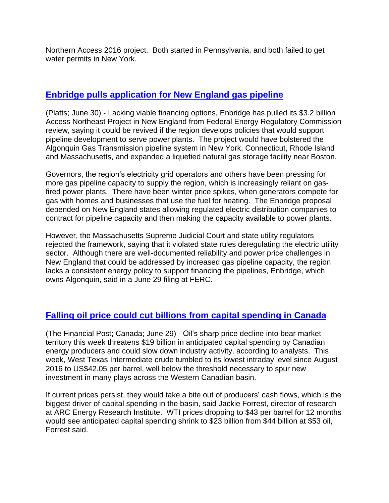Northern Access 2016 project. Both started in Pennsylvania, and both failed to get water permits in New York.

### **Enbridge pulls [application for New](https://www.platts.com/latest-news/natural-gas/portland-maine/enbridge-lacking-financing-options-suspends-new-21201905) England gas pipeline**

(Platts; June 30) - Lacking viable financing options, Enbridge has pulled its \$3.2 billion Access Northeast Project in New England from Federal Energy Regulatory Commission review, saying it could be revived if the region develops policies that would support pipeline development to serve power plants. The project would have bolstered the Algonquin Gas Transmission pipeline system in New York, Connecticut, Rhode Island and Massachusetts, and expanded a liquefied natural gas storage facility near Boston.

Governors, the region's electricity grid operators and others have been pressing for more gas pipeline capacity to supply the region, which is increasingly reliant on gasfired power plants. There have been winter price spikes, when generators compete for gas with homes and businesses that use the fuel for heating. The Enbridge proposal depended on New England states allowing regulated electric distribution companies to contract for pipeline capacity and then making the capacity available to power plants.

However, the Massachusetts Supreme Judicial Court and state utility regulators rejected the framework, saying that it violated state rules deregulating the electric utility sector. Although there are well-documented reliability and power price challenges in New England that could be addressed by increased gas pipeline capacity, the region lacks a consistent energy policy to support financing the pipelines, Enbridge, which owns Algonquin, said in a June 29 filing at FERC.

## **Falling oil price could cut billions from capital [spending](http://www.calgaryherald.com/canadian+oilpatch+defer+billion+capex+spending+prices+persist+analysts/13475072/story.html) in Canada**

(The Financial Post; Canada; June 29) - Oil's sharp price decline into bear market territory this week threatens \$19 billion in anticipated capital spending by Canadian energy producers and could slow down industry activity, according to analysts. This week, West Texas Intermediate crude tumbled to its lowest intraday level since August 2016 to US\$42.05 per barrel, well below the threshold necessary to spur new investment in many plays across the Western Canadian basin.

If current prices persist, they would take a bite out of producers' cash flows, which is the biggest driver of capital spending in the basin, said Jackie Forrest, director of research at ARC Energy Research Institute. WTI prices dropping to \$43 per barrel for 12 months would see anticipated capital spending shrink to \$23 billion from \$44 billion at \$53 oil, Forrest said.